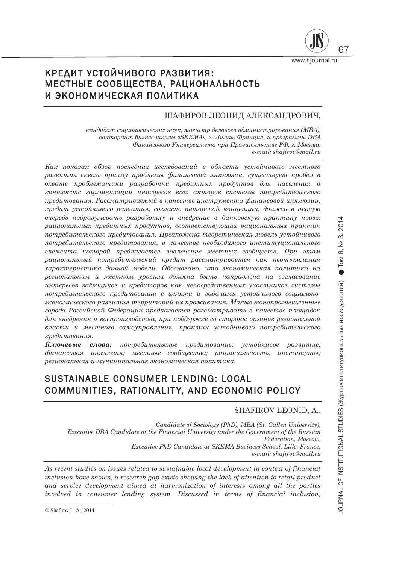

# КРЕДИТ УСТОЙЧИВОГО РАЗВИТИЯ: МЕСТНЫЕ СООБЩЕСТВА, РАЦИОНАЛЬНОСТЬ И ЭКОНОМИЧЕСКАЯ ПОЛИТИКА

# ШАФИРОВ ЛЕОНИД АЛЕКСАНДРОВИЧ,

*кандидат социологических наук, магистр делового администрирования (MBA), докторант бизнес-школы «SKEMA», г. Лилль, Франция, и программы DBA Финансового Университета при Правительстве РФ, г. Москва, e-mail: shafirov@mail.ru*

*Как показал обзор последних исследований в области устойчивого местного развития сквозь призму проблемы финансовой инклюзии, существует пробел в охвате проблематики разработки кредитных продуктов для населения в контексте гармонизации интересов всех акторов системы потребительского кредитования. Рассматриваемый в качестве инструмента финансовой инклюзии, кредит устойчивого развития, согласно авторской концепции, должен в первую очередь подразумевать разработку и внедрение в банковскую практику новых рациональных кредитных продуктов, соответствующих рациональных практик потребительского кредитования. Предложена теоретическая модель устойчивого потребительского кредитования, в качестве необходимого институционального элемента которой предлагается вовлечение местных сообществ. При этом рациональный потребительский кредит рассматривается как неотъемлемая характеристика данной модели. Обосновано, что экономическая политика на региональном и местном уровнях должна быть направлена на согласование интересов заёмщиков и кредиторов как непосредственных участников системы потребительского кредитования с целями и задачами устойчивого социальноэкономического развития территорий их проживания. Малые монопромышленные города Российской Федерации предлагается рассматривать в качестве площадок для внедрения и воспроизводства, при поддержке со стороны органов региональной власти и местного самоуправления, практик устойчивого потребительского кредитования.*

*Ключевые слова: потребительское кредитование; устойчивое развитие; финансовая инклюзия; местные сообщества; рациональность; институты; региональная и муниципальная экономическая политика.*

# SUSTAINABLE CONSUMER LENDING: LOCAL COMMUNITIES, RATIONALITY, AND ECONOMIC POLICY

# SHAFIROV LEONID, A.,

*Candidate of Sociology (PhD), MBA (St. Gallen University), Executive DBA Candidate at the Financial University under the Government of the Russian Federation, Moscow, Executive PhD Candidate at SKEMA Business School, Lille, France, e-mail: shafirov@mail.ru*

*As recent studies on issues related to sustainable local development in context of financial inclusion have shown, a research gap exists showing the lack of attention to retail product and service development aimed at harmonization of interests among all the parties involved in consumer lending system. Discussed in terms of financial inclusion,* 

<sup>©</sup> Shafirov L. A., 2014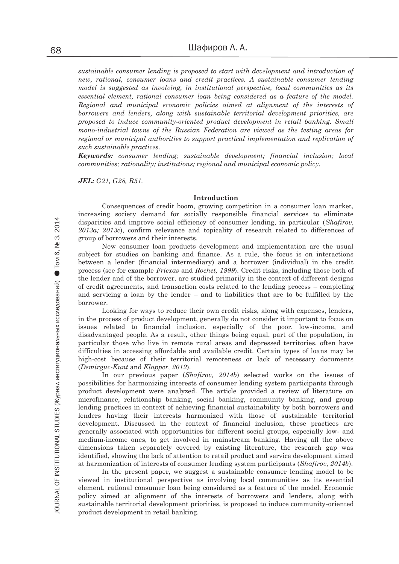*sustainable consumer lending is proposed to start with development and introduction of new, rational, consumer loans and credit practices. A sustainable consumer lending model is suggested as involving, in institutional perspective, local communities as its essential element, rational consumer loan being considered as a feature of the model. Regional and municipal economic policies aimed at alignment of the interests of borrowers and lenders, along with sustainable territorial development priorities, are proposed to induce community-oriented product development in retail banking. Small mono-industrial towns of the Russian Federation are viewed as the testing areas for regional or municipal authorities to support practical implementation and replication of such sustainable practices.*

*Keywords: consumer lending; sustainable development; financial inclusion; local communities; rationality; institutions; regional and municipal economic policy.*

*JEL: G21, G28, R51.*

#### **Introduction**

Consequences of credit boom, growing competition in a consumer loan market, increasing society demand for socially responsible financial services to eliminate disparities and improve social efficiency of consumer lending, in particular (*Shafirov, 2013a; 2013c*), confirm relevance and topicality of research related to differences of group of borrowers and their interests.

New consumer loan products development and implementation are the usual subject for studies on banking and finance. As a rule, the focus is on interactions between a lender (financial intermediary) and a borrower (individual) in the credit process (see for example *Friexas* and *Rochet, 1999*). Credit risks, including those both of the lender and of the borrower, are studied primarily in the context of different designs of credit agreements, and transaction costs related to the lending process – completing and servicing a loan by the lender – and to liabilities that are to be fulfilled by the borrower.

Looking for ways to reduce their own credit risks, along with expenses, lenders, in the process of product development, generally do not consider it important to focus on issues related to financial inclusion, especially of the poor, low-income, and disadvantaged people. As a result, other things being equal, part of the population, in particular those who live in remote rural areas and depressed territories, often have difficulties in accessing affordable and available credit. Certain types of loans may be high-cost because of their territorial remoteness or lack of necessary documents (*Demirguc-Kunt* and *Klapper, 2012*).

In our previous paper (*Shafirov, 2014b*) selected works on the issues of possibilities for harmonizing interests of consumer lending system participants through product development were analyzed. The article provided a review of literature on microfinance, relationship banking, social banking, community banking, and group lending practices in context of achieving financial sustainability by both borrowers and lenders having their interests harmonized with those of sustainable territorial development. Discussed in the context of financial inclusion, these practices are generally associated with opportunities for different social groups, especially low- and medium-income ones, to get involved in mainstream banking. Having all the above dimensions taken separately covered by existing literature, the research gap was identified, showing the lack of attention to retail product and service development aimed at harmonization of interests of consumer lending system participants (*Shafirov, 2014b*).

In the present paper, we suggest a sustainable consumer lending model to be viewed in institutional perspective as involving local communities as its essential element, rational consumer loan being considered as a feature of the model. Economic policy aimed at alignment of the interests of borrowers and lenders, along with sustainable territorial development priorities, is proposed to induce community-oriented product development in retail banking.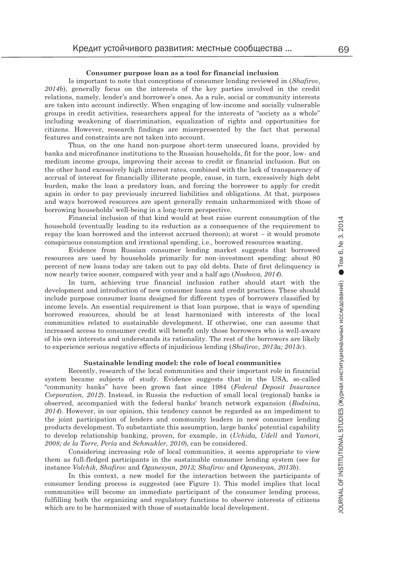#### **Consumer purpose loan as a tool for financial inclusion**

Is important to note that conceptions of consumer lending reviewed in (*Shafirov, 2014b*), generally focus on the interests of the key parties involved in the credit relations, namely, lender's and borrower's ones. As a rule, social or community interests are taken into account indirectly. When engaging of low-income and socially vulnerable groups in credit activities, researchers appeal for the interests of "society as a whole" including weakening of discrimination, equalization of rights and opportunities for citizens. However, research findings are misrepresented by the fact that personal features and constraints are not taken into account.

Thus, on the one hand non-purpose short-term unsecured loans, provided by banks and microfinance institutions to the Russian households, fit for the poor, low- and medium income groups, improving their access to credit or financial inclusion. But on the other hand excessively high interest rates, combined with the lack of transparency of accrual of interest for financially illiterate people, cause, in turn, excessively high debt burden, make the loan a predatory loan, and forcing the borrower to apply for credit again in order to pay previously incurred liabilities and obligations. At that, purposes and ways borrowed resources are spent generally remain unharmonized with those of borrowing households' well-being in a long-term perspective.

Financial inclusion of that kind would at best raise current consumption of the household (eventually leading to its reduction as a consequence of the requirement to repay the loan borrowed and the interest accrued thereon); at worst – it would promote conspicuous consumption and irrational spending, i.e., borrowed resources wasting.

Evidence from Russian consumer lending market suggests that borrowed resources are used by households primarily for non-investment spending: about 80 percent of new loans today are taken out to pay old debts. Date of first delinquency is now nearly twice sooner, compared with year and a half ago (*Noskova, 2014*).

In turn, achieving true financial inclusion rather should start with the development and introduction of new consumer loans and credit practices. These should include purpose consumer loans designed for different types of borrowers classified by income levels. An essential requirement is that loan purpose, that is ways of spending borrowed resources, should be at least harmonized with interests of the local communities related to sustainable development. If otherwise, one can assume that increased access to consumer credit will benefit only those borrowers who is well-aware of his own interests and understands its rationality. The rest of the borrowers are likely to experience serious negative effects of injudicious lending (*Shafirov, 2013a; 2013c*).

#### **Sustainable lending model: the role of local communities**

Recently, research of the local communities and their important role in financial system became subjects of study. Evidence suggests that in the USA, so-called "community banks" have been grown fast since 1984 (*Federal Deposit Insurance Corporation, 2012*). Instead, in Russia the reduction of small local (regional) banks is observed, accompanied with the federal banks' branch network expansion (*Rodnina, 2014*). However, in our opinion, this tendency cannot be regarded as an impediment to the joint participation of lenders and community leaders in new consumer lending products development. To substantiate this assumption, large banks' potential capability to develop relationship banking, proven, for example, in (*Uchida, Udell* and *Yamori, 2008; de la Torre, Pería* and *Schmukler, 2010*), can be considered.

Considering increasing role of local communities, it seems appropriate to view them as full-fledged participants in the sustainable consumer lending system (see for instance *Volchik, Shafirov* and *Oganesyan, 2013; Shafirov* and *Oganesyan, 2013b*).

In this context, a new model for the interaction between the participants of consumer lending process is suggested (see Figure 1). This model implies that local communities will become an immediate participant of the consumer lending process, fulfilling both the organizing and regulatory functions to observe interests of citizens which are to be harmonized with those of sustainable local development.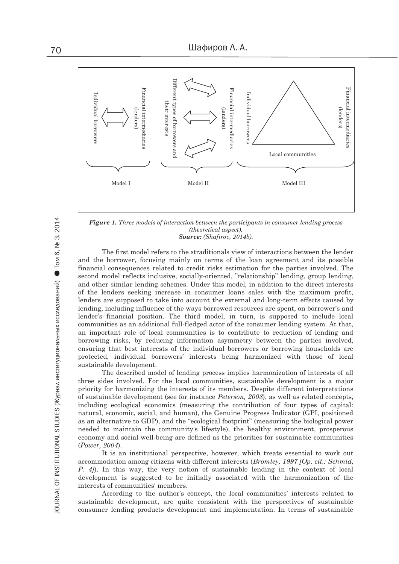

*Figure 1. Three models of interaction between the participants in consumer lending process (theoretical aspect). Source: (Shafirov, 2014b).*

The first model refers to the «traditional» view of interactions between the lender and the borrower, focusing mainly on terms of the loan agreement and its possible financial consequences related to credit risks estimation for the parties involved. The second model reflects inclusive, socially-oriented, "relationship" lending, group lending, and other similar lending schemes. Under this model, in addition to the direct interests of the lenders seeking increase in consumer loans sales with the maximum profit, lenders are supposed to take into account the external and long-term effects caused by lending, including influence of the ways borrowed resources are spent, on borrower's and lender's financial position. The third model, in turn, is supposed to include local communities as an additional full-fledged actor of the consumer lending system. At that, an important role of local communities is to contribute to reduction of lending and borrowing risks, by reducing information asymmetry between the parties involved, ensuring that best interests of the individual borrowers or borrowing households are protected, individual borrowers' interests being harmonized with those of local sustainable development.

The described model of lending process implies harmonization of interests of all three sides involved. For the local communities, sustainable development is a major priority for harmonizing the interests of its members. Despite different interpretations of sustainable development (see for instance *Peterson, 2008*), as well as related concepts, including ecological economics (measuring the contribution of four types of capital: natural, economic, social, and human), the Genuine Progress Indicator (GPI, positioned as an alternative to GDP), and the "ecological footprint" (measuring the biological power needed to maintain the community's lifestyle), the healthy environment, prosperous economy and social well-being are defined as the priorities for sustainable communities (*Power, 2004*).

It is an institutional perspective, however, which treats essential to work out accommodation among citizens with different interests (*Bromley, 1997 [Op. cit.: Schmid, P. 4*). In this way, the very notion of sustainable lending in the context of local development is suggested to be initially associated with the harmonization of the interests of communities' members.

According to the author's concept, the local communities' interests related to sustainable development, are quite consistent with the perspectives of sustainable consumer lending products development and implementation. In terms of sustainable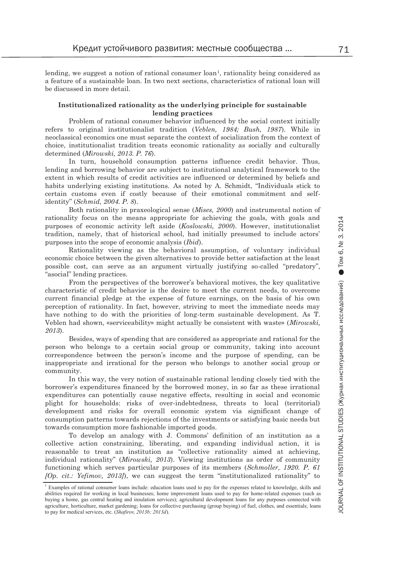lending, we suggest a notion of rational consumer  $\text{loan}^1$ , rationality being considered as a feature of a sustainable loan. In two next sections, characteristics of rational loan will be discussed in more detail.

### **Institutionalized rationality as the underlying principle for sustainable lending practices**

Problem of rational consumer behavior influenced by the social context initially refers to original institutionalist tradition (*Veblen, 1984; Bush, 1987*). While in neoclassical economics one must separate the context of socialization from the context of choice, institutionalist tradition treats economic rationality as socially and culturally determined (*Mirowski, 2013. P. 76*).

In turn, household consumption patterns influence credit behavior. Thus, lending and borrowing behavior are subject to institutional analytical framework to the extent in which results of credit activities are influenced or determined by beliefs and habits underlying existing institutions. As noted by A. Schmidt, "Individuals stick to certain customs even if costly because of their emotional commitment and selfidentity" (*Schmid, 2004. P. 8*).

Both rationality in praxeological sense (*Mises, 2000*) and instrumental notion of rationality focus on the means appropriate for achieving the goals, with goals and purposes of economic activity left aside (*Koslowski, 2000*). However, institutionalist tradition, namely, that of historical school, had initially presumed to include actors' purposes into the scope of economic analysis (*Ibid*).

Rationality viewing as the behavioral assumption, of voluntary individual economic choice between the given alternatives to provide better satisfaction at the least possible cost, can serve as an argument virtually justifying so-called "predatory", "asocial" lending practices.

From the perspectives of the borrower's behavioral motives, the key qualitative characteristic of credit behavior is the desire to meet the current needs, to overcome current financial pledge at the expense of future earnings, on the basis of his own perception of rationality. In fact, however, striving to meet the immediate needs may have nothing to do with the priorities of long-term sustainable development. As T. Veblen had shown, «serviceability» might actually be consistent with waste» (*Mirowski, 2013*).

Besides, ways of spending that are considered as appropriate and rational for the person who belongs to a certain social group or community, taking into account correspondence between the person's income and the purpose of spending, can be inappropriate and irrational for the person who belongs to another social group or community.

In this way, the very notion of sustainable rational lending closely tied with the borrower's expenditures financed by the borrowed money, in so far as these irrational expenditures can potentially cause negative effects, resulting in social and economic plight for households: risks of over-indebtedness, threats to local (territorial) development and risks for overall economic system via significant change of consumption patterns towards rejections of the investments or satisfying basic needs but towards consumption more fashionable imported goods.

To develop an analogy with J. Commons' definition of an institution as a collective action constraining, liberating, and expanding individual action, it is reasonable to treat an institution as "collective rationality aimed at achieving, individual rationality" (*Mirowski, 2013*). Viewing institutions as order of community functioning which serves particular purposes of its members (*Schmoller, 1920. P. 61 [Op. cit.: Yefimov, 2013]*), we can suggest the term "institutionalized rationality" to

<sup>&</sup>lt;sup>1</sup> Examples of rational consumer loans include: education loans used to pay for the expenses related to knowledge, skills and abilities required for working in local businesses; home improvement loans used to pay for home-related expenses (such as buying a home, gas central heating and insulation services); agricultural development loans for any purposes connected with agriculture, horticulture, market gardening; loans for collective purchasing (group buying) of fuel, clothes, and essentials; loans to pay for medical services, etc. (*Shafirov, 2013b; 2013d*).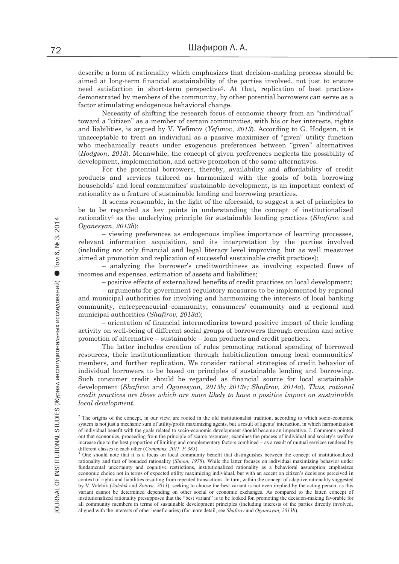describe a form of rationality which emphasizes that decision-making process should be aimed at long-term financial sustainability of the parties involved, not just to ensure need satisfaction in short-term perspective2. At that, replication of best practices demonstrated by members of the community, by other potential borrowers can serve as a factor stimulating endogenous behavioral change.

Necessity of shifting the research focus of economic theory from an "individual" toward a "citizen" as a member of certain communities, with his or her interests, rights and liabilities, is argued by V. Yefimov (*Yefimov, 2013*). According to G. Hodgson, it is unacceptable to treat an individual as a passive maximizer of "given" utility function who mechanically reacts under exogenous preferences between "given" alternatives (*Hodgson, 2013*). Meanwhile, the concept of given preferences neglects the possibility of development, implementation, and active promotion of the same alternatives.

For the potential borrowers, thereby, availability and affordability of credit products and services tailored as harmonized with the goals of both borrowing households' and local communities' sustainable development, is an important context of rationality as a feature of sustainable lending and borrowing practices.

It seems reasonable, in the light of the aforesaid, to suggest a set of principles to be to be regarded as key points in understanding the concept of institutionalized rationality<sup>3</sup> as the underlying principle for sustainable lending practices (*Shafirov* and *Oganesyan, 2013b*):

– viewing preferences as endogenous implies importance of learning processes, relevant information acquisition, and its interpretation by the parties involved (including not only financial and legal literacy level improving, but as well measures aimed at promotion and replication of successful sustainable credit practices);

– analyzing the borrower's creditworthiness as involving expected flows of incomes and expenses, estimation of assets and liabilities;

– positive effects of externalized benefits of credit practices on local development;

– arguments for government regulatory measures to be implemented by regional and municipal authorities for involving and harmonizing the interests of local banking community, entrepreneurial community, consumers' community and и regional and municipal authorities (*Shafirov, 2013d*);

– orientation of financial intermediaries toward positive impact of their lending activity on well-being of different social groups of borrowers through creation and active promotion of alternative – sustainable – loan products and credit practices.

The latter includes creation of rules promoting rational spending of borrowed resources, their institutionalization through habitialization among local communities' members, and further replication. We consider rational strategies of credit behavior of individual borrowers to be based on principles of sustainable lending and borrowing. Such consumer credit should be regarded as financial source for local sustainable development (*Shafirov* and *Oganesyan, 2013b; 2013e; Shafirov, 2014a*)*. Thus, rational credit practices are those which are more likely to have a positive impact on sustainable local development.*

<sup>&</sup>lt;sup>2</sup> The origins of the concept, in our view, are rooted in the old institutionalist tradition, according to which socio-economic system is not just a mechanic sum of utility/profit maximizing agents, but a result of agents' interaction, in which harmonization of individual benefit with the goals related to socio-economic development should become an imperative. J. Commons pointed out that economics, proceeding from the principle of scarce resources, examines the process of individual and society's welfare increase due to the best proportion of limiting and complementary factors combined – as a result of mutual services rendered by different classes to each other (*Commons, 2011. P. 385*).

<sup>3</sup> One should note that it is a focus on local community benefit that distinguishes between the concept of institutionalized rationality and that of bounded rationality (*Simon, 1978*). While the latter focuses on individual maximizing behavior under fundamental uncertainty and cognitive restrictions, institutionalized rationality as a behavioral assumption emphasizes economic choice not in terms of expected utility maximizing individual, but with an accent on citizen's decisions perceived in context of rights and liabilities resulting from repeated transactions. In turn, within the concept of adaptive rationality suggested by V. Volchik (*Volchik* and *Zotova, 2013*), seeking to choose the best variant is not even implied by the acting person, as this variant cannot be determined depending on other social or economic exchanges. As compared to the latter, concept of institutionalized rationality presupposes that the "best variant" is to be looked for, promoting the decision-making favorable for all community members in terms of sustainable development principles (including interests of the parties directly involved, aligned with the interests of other beneficiaries) (for more detail, see *Shafirov* and *Oganesyan, 2013b*).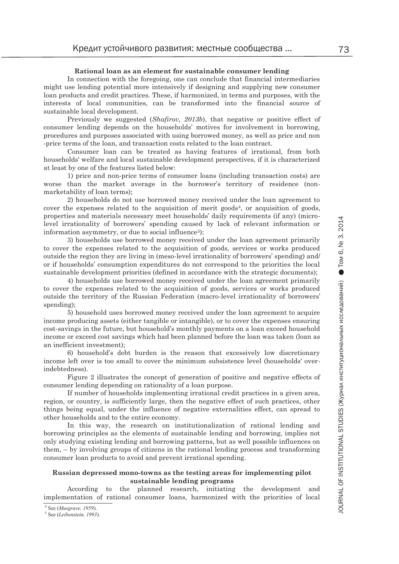## **Rational loan as an element for sustainable consumer lending**

In connection with the foregoing, one can conclude that financial intermediaries might use lending potential more intensively if designing and supplying new consumer loan products and credit practices. These, if harmonized, in terms and purposes, with the interests of local communities, can be transformed into the financial source of sustainable local development.

Previously we suggested (*Shafirov, 2013b*), that negative or positive effect of consumer lending depends on the households' motives for involvement in borrowing, procedures and purposes associated with using borrowed money, as well as price and non -price terms of the loan, and transaction costs related to the loan contract.

Consumer loan can be treated as having features of irrational, from both households' welfare and local sustainable development perspectives, if it is characterized at least by one of the features listed below:

1) price and non-price terms of consumer loans (including transaction costs) are worse than the market average in the borrower's territory of residence (nonmarketability of loan terms);

2) households do not use borrowed money received under the loan agreement to cover the expenses related to the acquisition of merit goods $4$ , or acquisition of goods, properties and materials necessary meet households' daily requirements (if any) (microlevel irrationality of borrowers' spending caused by lack of relevant information or information asymmetry, or due to social influence<sup>5</sup>);

3) households use borrowed money received under the loan agreement primarily to cover the expenses related to the acquisition of goods, services or works produced outside the region they are living in (meso-level irrationality of borrowers' spending) and/ or if households' consumption expenditures do not correspond to the priorities the local sustainable development priorities (defined in accordance with the strategic documents);

4) households use borrowed money received under the loan agreement primarily to cover the expenses related to the acquisition of goods, services or works produced outside the territory of the Russian Federation (macro-level irrationality of borrowers' spending);

5) household uses borrowed money received under the loan agreement to acquire income producing assets (either tangible or intangible), or to cover the expenses ensuring cost-savings in the future, but household's monthly payments on a loan exceed household income or exceed cost savings which had been planned before the loan was taken (loan as an inefficient investment);

6) household's debt burden is the reason that excessively low discretionary income left over is too small to cover the minimum subsistence level (households' overindebtedness).

Figure 2 illustrates the concept of generation of positive and negative effects of consumer lending depending on rationality of a loan purpose.

If number of households implementing irrational credit practices in a given area, region, or country, is sufficiently large, then the negative effect of such practices, other things being equal, under the influence of negative externalities effect, can spread to other households and to the entire economy.

In this way, the research on institutionalization of rational lending and borrowing principles as the elements of sustainable lending and borrowing, implies not only studying existing lending and borrowing patterns, but as well possible influences on them, – by involving groups of citizens in the rational lending process and transforming consumer loan products to avoid and prevent irrational spending.

### **Russian depressed mono-towns as the testing areas for implementing pilot sustainable lending programs**

According to the planned research, initiating the development and implementation of rational consumer loans, harmonized with the priorities of local

<sup>4</sup> See (*[Musgrave,](http://en.wikipedia.org/wiki/Richard_A._Musgrave) 1959*).

<sup>5</sup> See (*Leibenstein, 1993*).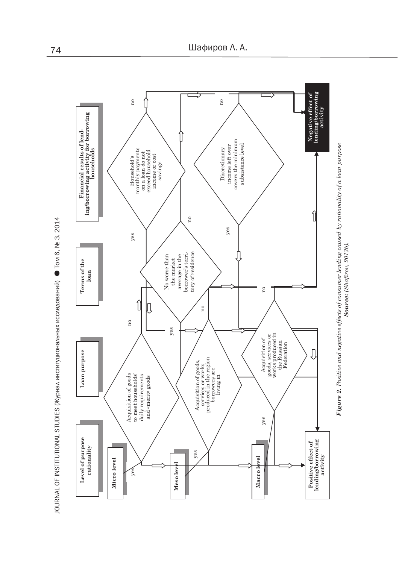

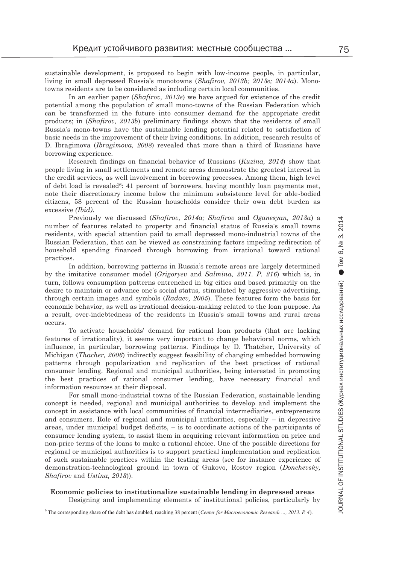sustainable development, is proposed to begin with low-income people, in particular, living in small depressed Russia's monotowns (*Shafirov, 2013b; 2013e; 2014a*). Monotowns residents are to be considered as including certain local communities.

In an earlier paper (*Shafirov, 2013e*) we have argued for existence of the credit potential among the population of small mono-towns of the Russian Federation which can be transformed in the future into consumer demand for the appropriate credit products; in (*Shafirov, 2013b*) preliminary findings shown that the residents of small Russia's mono-towns have the sustainable lending potential related to satisfaction of basic needs in the improvement of their living conditions. In addition, research results of D. Ibragimova (*Ibragimova, 2008*) revealed that more than a third of Russians have borrowing experience.

Research findings on financial behavior of Russians (*Kuzina, 2014*) show that people living in small settlements and remote areas demonstrate the greatest interest in the credit services, as well involvement in borrowing processes. Among them, high level of debt load is revealed<sup>6</sup>: 41 percent of borrowers, having monthly loan payments met, note their discretionary income below the minimum subsistence level for able-bodied citizens, 58 percent of the Russian households consider their own debt burden as excessive *(Ibid)*.

Previously we discussed (*Shafirov, 2014a; Shafirov* and *Oganesyan, 2013a*) a number of features related to property and financial status of Russia's small towns residents, with special attention paid to small depressed mono-industrial towns of the Russian Federation, that can be viewed as constraining factors impeding redirection of household spending financed through borrowing from irrational toward rational practices.

In addition, borrowing patterns in Russia's remote areas are largely determined by the imitative consumer model (*Grigoryev* and *Salmina, 2011. P. 216*) which is, in turn, follows consumption patterns entrenched in big cities and based primarily on the desire to maintain or advance one's social status, stimulated by aggressive advertising, through certain images and symbols (*Radaev, 2005*). These features form the basis for economic behavior, as well as irrational decision-making related to the loan purpose. As a result, over-indebtedness of the residents in Russia's small towns and rural areas occurs.

To activate households' demand for rational loan products (that are lacking features of irrationality), it seems very important to change behavioral norms, which influence, in particular, borrowing patterns. Findings by D. Thatcher, University of Michigan (*Thacher, 2006*) indirectly suggest feasibility of changing embedded borrowing patterns through popularization and replication of the best practices of rational consumer lending. Regional and municipal authorities, being interested in promoting the best practices of rational consumer lending, have necessary financial and information resources at their disposal.

For small mono-industrial towns of the Russian Federation, sustainable lending concept is needed, regional and municipal authorities to develop and implement the concept in assistance with local communities of financial intermediaries, entrepreneurs and consumers. Role of regional and municipal authorities, especially – in depressive areas, under municipal budget deficits, – is to coordinate actions of the participants of consumer lending system, to assist them in acquiring relevant information on price and non-price terms of the loans to make a rational choice. One of the possible directions for regional or municipal authorities is to support practical implementation and replication of such sustainable practices within the testing areas (see for instance experience of demonstration-technological ground in town of Gukovo, Rostov region (*Donchevsky, Shafirov* and *Ustina, 2013*)).

**Economic policies to institutionalize sustainable lending in depressed areas** Designing and implementing elements of institutional policies, particularly by

<sup>6</sup> The corresponding share of the debt has doubled, reaching 38 percent (*Center for Macroeconomic Research …, 2013. P. 4*).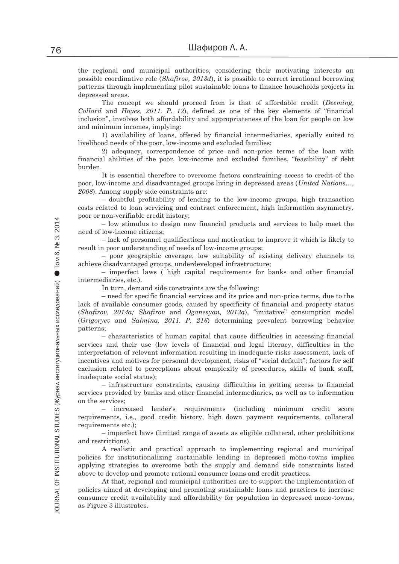the regional and municipal authorities, considering their motivating interests an possible coordinative role (*Shafirov, 2013d*), it is possible to correct irrational borrowing patterns through implementing pilot sustainable loans to finance households projects in depressed areas.

The concept we should proceed from is that of affordable credit (*Deeming, Collard* and *Hayes, 2011. P. 12*), defined as one of the key elements of "financial inclusion", involves both affordability and appropriateness of the loan for people on low and minimum incomes, implying:

1) availability of loans, offered by financial intermediaries, specially suited to livelihood needs of the poor, low-income and excluded families;

2) adequacy, correspondence of price and non-price terms of the loan with financial abilities of the poor, low-income and excluded families, "feasibility" of debt burden.

It is essential therefore to overcome factors constraining access to credit of the poor, low-income and disadvantaged groups living in depressed areas (*United Nations…, 2008*). Among supply side constraints are:

– doubtful profitability of lending to the low-income groups, high transaction costs related to loan servicing and contract enforcement, high information asymmetry, poor or non-verifiable credit history;

– low stimulus to design new financial products and services to help meet the need of low-income citizens;

– lack of personnel qualifications and motivation to improve it which is likely to result in poor understanding of needs of low-income groups;

– poor geographic coverage, low suitability of existing delivery channels to achieve disadvantaged groups, underdeveloped infrastructure;

– imperfect laws ( high capital requirements for banks and other financial intermediaries, etc.).

In turn, demand side constraints are the following:

– need for specific financial services and its price and non-price terms, due to the lack of available consumer goods, caused by specificity of financial and property status (*Shafirov, 2014a; Shafirov* and *Oganesyan, 2013a*), "imitative" consumption model (*Grigoryev* and *Salmina, 2011. P. 216*) determining prevalent borrowing behavior patterns;

– characteristics of human capital that cause difficulties in accessing financial services and their use (low levels of financial and legal literacy, difficulties in the interpretation of relevant information resulting in inadequate risks assessment, lack of incentives and motives for personal development, risks of "social default"; factors for self exclusion related to perceptions about complexity of procedures, skills of bank staff, inadequate social status);

– infrastructure constraints, causing difficulties in getting access to financial services provided by banks and other financial intermediaries, as well as to information on the services;

– increased lender's requirements (including minimum credit score requirements, i.e., good credit history, high down payment requirements, collateral requirements etc.);

– imperfect laws (limited range of assets as eligible collateral, other prohibitions and restrictions).

A realistic and practical approach to implementing regional and municipal policies for institutionalizing sustainable lending in depressed mono-towns implies applying strategies to overcome both the supply and demand side constraints listed above to develop and promote rational consumer loans and credit practices.

At that, regional and municipal authorities are to support the implementation of policies aimed at developing and promoting sustainable loans and practices to increase consumer credit availability and affordability for population in depressed mono-towns, as Figure 3 illustrates.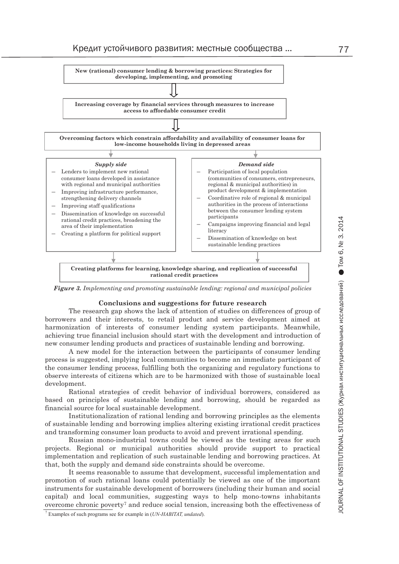

*Figure 3. Implementing and promoting sustainable lending: regional and municipal policies*

## **Conclusions and suggestions for future research**

The research gap shows the lack of attention of studies on differences of group of borrowers and their interests, to retail product and service development aimed at harmonization of interests of consumer lending system participants. Meanwhile, achieving true financial inclusion should start with the development and introduction of new consumer lending products and practices of sustainable lending and borrowing.

A new model for the interaction between the participants of consumer lending process is suggested, implying local communities to become an immediate participant of the consumer lending process, fulfilling both the organizing and regulatory functions to observe interests of citizens which are to be harmonized with those of sustainable local development.

Rational strategies of credit behavior of individual borrowers, considered as based on principles of sustainable lending and borrowing, should be regarded as financial source for local sustainable development.

Institutionalization of rational lending and borrowing principles as the elements of sustainable lending and borrowing implies altering existing irrational credit practices and transforming consumer loan products to avoid and prevent irrational spending.

Russian mono-industrial towns could be viewed as the testing areas for such projects. Regional or municipal authorities should provide support to practical implementation and replication of such sustainable lending and borrowing practices. At that, both the supply and demand side constraints should be overcome.

It seems reasonable to assume that development, successful implementation and promotion of such rational loans could potentially be viewed as one of the important instruments for sustainable development of borrowers (including their human and social capital) and local communities, suggesting ways to help mono-towns inhabitants overcome chronic poverty<sup>7</sup> and reduce social tension, increasing both the effectiveness of

<sup>7</sup> Examples of such programs see for example in (*UN-HABITAT, undated*).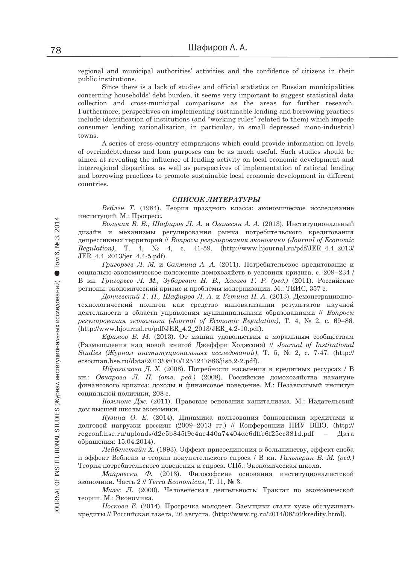regional and municipal authorities' activities and the confidence of citizens in their public institutions.

Since there is a lack of studies and official statistics on Russian municipalities concerning households' debt burden, it seems very important to suggest statistical data collection and cross-municipal comparisons as the areas for further research. Furthermore, perspectives on implementing sustainable lending and borrowing practices include identification of institutions (and "working rules" related to them) which impede consumer lending rationalization, in particular, in small depressed mono-industrial towns.

A series of cross-country comparisons which could provide information on levels of overindebtedness and loan purposes can be as much useful. Such studies should be aimed at revealing the influence of lending activity on local economic development and interregional disparities, as well as perspectives of implementation of rational lending and borrowing practices to promote sustainable local economic development in different countries.

#### *СПИСОК ЛИТЕРАТУРЫ*

*Веблен Т.* (1984). Теория праздного класса: экономическое исследование институций. М.: Прогресс.

*Вольчик В. В., Шафиров Л. А.* и *Оганесян А. А.* (2013). Институциональный дизайн и механизмы регулирования рынка потребительского кредитования депрессивных территорий // *Вопросы регулирования экономики (Journal of Economic Regulation)*, Т. 4, № 4, с. 41-59. (http://www.hjournal.ru/pdf/JER\_4.4\_2013/ JER\_4.4\_2013/jer\_4.4-5.pdf).

*Григорьев Л. М.* и *Салмина А. А.* (2011). Потребительское кредитование и социально-экономическое положение домохозяйств в условиях кризиса, с. 209–234 / В кн. *Григорьев Л. М., Зубаревич Н. В., Хасаев Г. Р. (ред.)* (2011). Российские регионы: экономический кризис и проблемы модернизации. М.: ТЕИС, 357 с.

*Дончевский Г. Н., Шафиров Л. А.* и *Устина Н. А.* (2013). Демонстрационнотехнологический полигон как средство инноватизации результатов научной деятельности в области управления муниципальными образованиями // *Вопросы регулирования экономики (Journal of Economic Regulation)*, Т. 4, № 2, с. 69–86.  $(\text{http://www.hjournal.ru/pdf/JER } 4.2 \ 2013/JER } 4.2-10.pdf).$ 

*Ефимов В. М.* (2013). От машин удовольствия к моральным сообществам (Размышления над новой книгой Джеффри Ходжсона) // *Journal of Institutional Studies (Журнал институциональных исследований)*, Т. 5, № 2, с. 7-47. (http:// ecsocman.hse.ru/data/2013/08/10/1251247886/jis5.2-2.pdf).

*Ибрагимова Д. Х.* (2008). Потребности населения в кредитных ресурсах / В кн.: *Овчарова Л. Н. (отв. ред.)* (2008). Российские домохозяйства накануне финансового кризиса: доходы и финансовое поведение. М.: Независимый институт социальной политики, 208 с.

*Коммонс Дж.* (2011). Правовые основания капитализма. М.: Издательский дом высшей школы экономики.

*Кузина О. Е.* (2014). Динамика пользования банковскими кредитами и долговой нагрузки россиян (2009–2013 гг.) // Конференции НИУ ВШЭ. (http:// regconf.hse.ru/uploads/d2e5b845f9e4ae440a74404de6dffe6f25ec381d.pdf – Дата обращения: 15.04.2014).

*Лейбенстайн Х.* (1993). Эффект присоединения к большинству, эффект сноба и эффект Веблена в теории покупательского спроса / В кн. *Гальперин В. М. (ред.)* Теория потребительского поведения и спроса. СПб.: Экономическая школа.

*Майровски Ф.* (2013). Философские основания институционалистской экономики. Часть 2 // *Terra Economicus*, Т. 11, № 3.

*Мизес Л.* (2000). Человеческая деятельность: Трактат по экономической теории. М.: Экономика.

*Носкова Е.* (2014). Просрочка молодеет. Заемщики стали хуже обслуживать кредиты // Российская газета, 26 августа. (http://www.rg.ru/2014/08/26/kredity.html).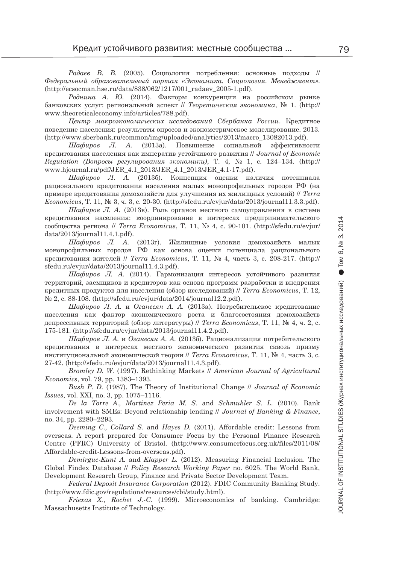*Радаев В. В.* (2005). Социология потребления: основные подходы // *Федеральный образовательный портал «Экономика. Социология. Менеджмент»*. ([http://ecsocman.hse.ru/data/838/062/1217/001\\_radaev\\_2005-1.pdf\).](http://ecsocman.hse.ru/data/838/062/1217/001_radaev_2005-1.pdf)

*Роднина А. Ю.* (2014). Факторы конкуренции на российском рынке банковских услуг: региональный аспект // *Теоретическая экономика*, № 1. (http:// www.theoreticaleconomy.info/articles/788.pdf).

*Центр макроэкономических исследований Сбербанка России*. Кредитное поведение населения: результаты опросов и эконометрическое моделирование. 2013. (http://www.sberbank.ru/common/img/uploaded/analytics/2013/macro\_13082013.pdf).

*Шафиров Л. А.* (2013а). Повышение социальной эффективности кредитования населения как императив устойчивого развития // *Journal of Economic Regulation (Вопросы регулирования экономики)*, Т. 4, № 1, с. 124–134. (http:// www.hjournal.ru/pdf/JER\_4.1\_2013/JER\_4.1\_2013/JER\_4.1-17.pdf).

*Шафиров Л. А.* (2013б). Концепция оценки наличия потенциала рационального кредитования населения малых монопрофильных городов РФ (на примере кредитования домохозяйств для улучшения их жилищных условий) // *Теrrа Economicus*, Т. 11, № 3, ч. 3, с. 20-30. (http://sfedu.ru/evjur/data/2013/journal11.3.3.pdf).

*Шафиров Л. А.* (2013в). Роль органов местного самоуправления в системе кредитования населения: координирование в интересах предпринимательского сообщества региона // *Теrrа Economicus*, Т. 11, № 4, с. 90-101. (http://sfedu.ru/evjur/ data/2013/journal11.4.1.pdf).

*Шафиров Л. А.* (2013г). Жилищные условия домохозяйств малых монопрофильных городов РФ как основа оценки потенциала рационального кредитования жителей // *Теrrа Economicus*, Т. 11, № 4, часть 3, с. 208-217. (http:// sfedu.ru/evjur/data/2013/journal11.4.3.pdf).

*Шафиров Л. А.* (2014). Гармонизация интересов устойчивого развития территорий, заемщиков и кредиторов как основа программ разработки и внедрения кредитных продуктов для населения (обзор исследований) // *Terra Economicus*, Т. 12, № 2, с. 88-108. (http://sfedu.ru/evjur/data/2014/journal12.2.pdf).

*Шафиров Л. А.* и *Оганесян А. А.* (2013a). Потребительское кредитование населения как фактор экономического роста и благосостояния домохозяйств депрессивных территорий (обзор литературы) // *Теrrа Economicus*, Т. 11, № 4, ч. 2, с. 175-181. (http://sfedu.ru/evjur/data/2013/journal11.4.2.pdf).

*Шафиров Л. А.* и *Оганесян А. А.* (2013б). Рационализация потребительского кредитования в интересах местного экономического развития сквозь призму институциональной экономической теории // *Terra Economicus*, Т. 11, № 4, часть 3, с. 27-42. (http://sfedu.ru/evjur/data/2013/journal11.4.3.pdf).

*Bromley D. W.* (1997). Rethinking Markets // *American Journal of Agricultural Economics*, vol. 79, pp. 1383–1393.

*Bush P. D.* (1987). The Theory of Institutional Change // *Journal of Economic Issues*, vol. XXI, no. 3, pp. 1075–1116.

*De la Torre A., Martinez Peria M. S.* and *Schmukler S. L.* (2010). Bank involvement with SMEs: Beyond relationship lending // *Journal of Banking & Finance*, no. 34, pp. 2280–2293.

*Deeming C., Collard S.* and *Hayes D.* (2011). Affordable credit: Lessons from overseas. A report prepared for Consumer Focus by the Personal Finance Research Centre (PFRC) University of Bristol. (http://www.consumerfocus.org.uk/files/2011/08/ Affordable-credit-Lessons-from-overseas.pdf).

*Demirguc-Kunt A.* and *Klapper L.* (2012). Measuring Financial Inclusion. The Global Findex Database // *Policy Research Working Paper* no. 6025. The World Bank, Development Research Group, Finance and Private Sector Development Team.

*Federal Deposit Insurance Corporation* (2012). FDIC Community Banking Study. (http://www.fdic.gov/regulations/resources/cbi/study.html).

*Friexas X.*, *Rochet J.-C.* (1999). Microeconomics of banking. Cambridge: Massachusetts Institute of Technology.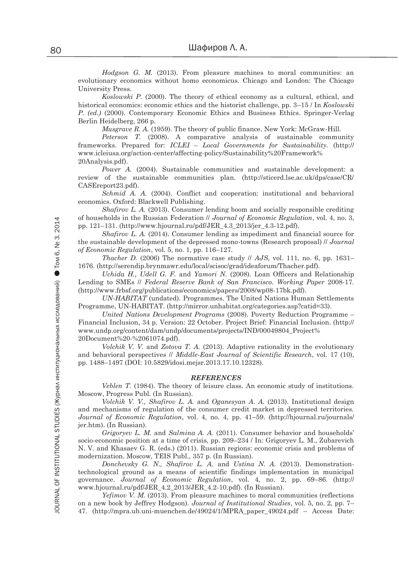*Hodgson G. M.* (2013). From pleasure machines to moral communities: an evolutionary economics without homo economicus. Chicago and London: The Chicago University Press.

*Koslowski P.* (2000). The theory of ethical economy as a cultural, ethical, and historical economics: economic ethics and the historist challenge, pp. 3–15 / In *Koslowski P. (ed.)* (2000). Contemporary Economic Ethics and Business Ethics. Springer-Verlag Berlin Heidelberg, 266 p.

*[Musgrave R](http://en.wikipedia.org/wiki/Richard_A._Musgrave). A.* (1959). The theory of public finance. New York: McGraw-Hill.

*Peterson T.* (2008). A comparative analysis of sustainable community frameworks. Prepared for: *ICLEI – Local Governments for Sustainability.* (http:// www.icleiusa.org/action-center/affecting-policy/Sustainability%20Framework% 20Analysis.pdf).

*Power A.* (2004). Sustainable communities and sustainable development: a review of the sustainable communities plan. (http://sticerd.lse.ac.uk/dps/case/CR/ CASEreport23.pdf).

*Schmid A. A.* (2004). Conflict and cooperation: institutional and behavioral economics. Oxford: Blackwell Publishing.

*Shafirov L. A.* (2013). Consumer lending boom and socially responsible crediting of households in the Russian Federation // *Journal of Economic Regulation*, vol. 4, no. 3, pp. 121–131. (http://www.hjournal.ru/pdf/JER\_4.3\_2013/jer\_4.3-12.pdf).

*Shafirov L. A.* (2014). Consumer lending as impediment and financial source for the sustainable development of the depressed mono-towns (Research proposal) // *Journal of Economic Regulation*, vol. 5, no. 1, pp. 116–127.

*Thacher D.* (2006) The normative case study  $\parallel$  *AJS*, vol. 111, no. 6, pp. 1631– 1676. (http://serendip.brynmawr.edu/local/scisoc/grad/ideaforum/Thacher.pdf).

*Uchida H., Udell G. F.* and *Yamori N.* (2008). Loan Officers and Relationship Lending to SMEs // *Federal Reserve Bank of San Francisco. Working Paper* 2008-17. (http://www.frbsf.org/publications/economics/papers/2008/wp08-17bk.pdf).

*UN-HABITAT* (undated). Programmes. The United Nations Human Settlements Programme, UN-HABITAT. [\(http://mirror.unhabitat.org/categories.asp?catid=33\).](http://mirror.unhabitat.org/categories.asp?catid=33)

*United Nations Development Programs* (2008). Poverty Reduction Programme – Financial Inclusion, 34 p. Version: 22 October. Project Brief: Financial Inclusion. (http:// www.undp.org/content/dam/undp/documents/projects/IND/00049804\_Project% 20Document%20-%2061074.pdf).

*Volchik V. V.* and *Zotova T. A.* (2013). Adaptive rationality in the evolutionary and behavioral perspectives // *Middle-East Journal of Scientific Research*, vol. 17 (10), pp. 1488–1497 (DOI: 10.5829/idosi.mejsr.2013.17.10.12328).

#### *REFERENCES*

*Veblen T.* (1984). The theory of leisure class. An economic study of institutions. Moscow, Progress Publ. (In Russian).

*Volchik V. V., Shafirov L. A.* and *Oganesyan А. А.* (2013). Institutional design and mechanisms of regulation of the consumer credit market in depressed territories. *Journal of Economic Regulation*, vol. 4, no. 4, pp. 41–59. (http://hjournal.ru/journals/ jer.htm). (In Russian).

*Grigoryev L. M.* and *Salmina A. A.* (2011). Consumer behavior and households' socio-economic position at a time of crisis, pp. 209–234 / In: Grigoryev L. M., Zubarevich N. V. and Khasaev G. R. (eds.) (2011). Russian regions: economic crisis and problems of modernization. Moscow, TEIS Publ., 357 p. (In Russian).

*Donchevsky G. N., Shafirov L. A.* and *Ustina N. A.* (2013). Demonstrationtechnological ground as a means of scientific findings implementation in municipal governance. *Journal of Economic Regulation*, vol. 4, no. 2, pp. 69–86. (http:// www.hjournal.ru/pdf/JER\_4.2\_2013/JER\_4.2-10.pdf). (In Russian).

*Yefimov V. M.* (2013). From pleasure machines to moral communities (reflections on a new book by Jeffrey Hodgson). *Journal of Institutional Studies*, vol. 5, no. 2, pp. 7– 47. (http://mpra.ub.uni-muenchen.de/49024/1/MPRA\_paper\_49024.pdf – Access Date: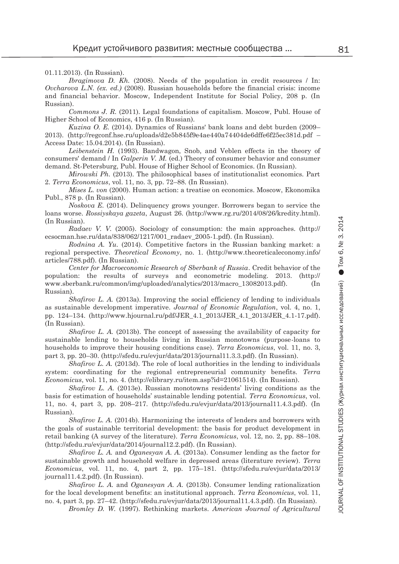01.11.2013). (In Russian).

*Ibragimova D. Kh.* (2008). Needs of the population in credit resources / In: *Ovcharova L.N. (ex. ed.)* (2008). Russian households before the financial crisis: income and financial behavior. Moscow, Independent Institute for Social Policy, 208 p. (In Russian).

*Commons J. R.* (2011). Legal foundations of capitalism. Moscow, Publ. House of Higher School of Economics, 416 p. (In Russian).

*Kuzina О. Е.* (2014). Dynamics of Russians' bank loans and debt burden (2009– 2013). (http://regconf.hse.ru/uploads/d2e5b845f9e4ae440a74404de6dffe6f25ec381d.pdf – Access Date: 15.04.2014). (In Russian).

*Leibenstein H.* (1993). Bandwagon, Snob, and Veblen effects in the theory of consumers' demand / In *Galperin V. M.* (ed.) Theory of consumer behavior and consumer demand. St-Petersburg, Publ. House of Higher School of Economics. (In Russian).

*Mirowski Ph.* (2013). The philosophical bases of institutionalist economics. Part 2. *Terra Economicus*, vol. 11, no. 3, pp. 72–88. (In Russian).

*Mises L. von* (2000). Human action: a treatise on economics. Moscow, Ekonomika Publ., 878 p. (In Russian).

*Noskova Е.* (2014). Delinquency grows younger. Borrowers began to service the loans worse. *Rossiyskaya gazeta*, August 26. (http://www.rg.ru/2014/08/26/kredity.html). (In Russian).

*Radaev V. V.* (2005). Sociology of consumption: the main approaches. ([http://](http://ecsocman.hse.ru/data/838/062/1217/001_radaev_2005-1.pdf) [ecsocman.hse.ru/data/838/062/1217/001\\_radaev\\_2005-1.pdf\).](http://ecsocman.hse.ru/data/838/062/1217/001_radaev_2005-1.pdf) (In Russian).

*Rodnina A. Yu.* (2014). Competitive factors in the Russian banking market: a regional perspective. *Theoretical Economy*, no. 1. (http://www.theoreticaleconomy.info/ articles/788.pdf). (In Russian).

*Center for Macroeconomic Research of Sberbank of Russia*. Credit behavior of the population: the results of surveys and econometric modeling. 2013. (http:// www.sberbank.ru/common/img/uploaded/analytics/2013/macro\_13082013.pdf). (In Russian).

*Shafirov L. A. (2013a).* Improving the social efficiency of lending to individuals as sustainable development imperative. *Journal of Economic Regulation*, vol. 4, no. 1, pp. 124–134. (http://www.hjournal.ru/pdf/JER\_4.1\_2013/JER\_4.1\_2013/JER\_4.1-17.pdf). (In Russian).

*Shafirov L. A.* (2013b). The concept of assessing the availability of capacity for sustainable lending to households living in Russian monotowns (purpose-loans to households to improve their housing conditions case). *Теrrа Economicus*, vol. 11, no. 3, part 3, pp. 20–30. (http://sfedu.ru/evjur/data/2013/journal11.3.3.pdf). (In Russian).

*Shafirov L. A.* (2013d). The role of local authorities in the lending to individuals system: coordinating for the regional entrepreneurial community benefits. *Теrrа Economicus*, vol. 11, no. 4. (http://elibrary.ru/item.asp?id=21061514). (In Russian).

*Shafirov L. A.* (2013e). Russian monotowns residents' living conditions as the basis for estimation of households' sustainable lending potential. *Теrrа Economicus*, vol. 11, no. 4, part 3, pp. 208–217. (http://sfedu.ru/evjur/data/2013/journal11.4.3.pdf). (In Russian).

*Shafirov L. A.* (2014b). Harmonizing the interests of lenders and borrowers with the goals of sustainable territorial development: the basis for product development in retail banking (A survey of the literature). *Terra Economicus*, vol. 12, no. 2, pp. 88–108. (http://sfedu.ru/evjur/data/2014/journal12.2.pdf). (In Russian).

*Shafirov L. A.* and *Oganesyan А. А.* (2013a). Consumer lending as the factor for sustainable growth and household welfare in depressed areas (literature review). *Теrrа Economicus*, vol. 11, no. 4, part 2, pp. 175–181. (http://sfedu.ru/evjur/data/2013/ journal11.4.2.pdf). (In Russian).

*Shafirov L. A.* and *Oganesyan А. А.* (2013b). Consumer lending rationalization for the local development benefits: an institutional approach. *Теrrа Economicus*, vol. 11, no. 4, part 3, pp. 27–42. (http://sfedu.ru/evjur/data/2013/journal11.4.3.pdf). (In Russian).

*Bromley D. W.* (1997). Rethinking markets. *American Journal of Agricultural*